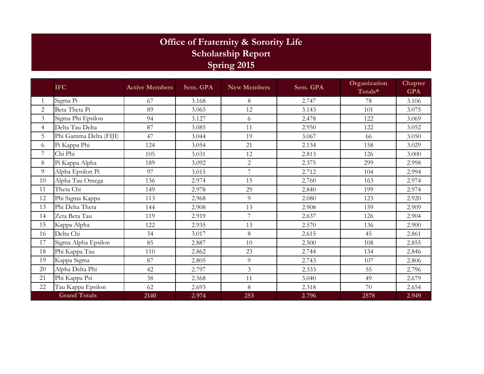## **Office of Fraternity & Sorority Life Scholarship Report Spring 2015**

|                     | <b>IFC</b>             | <b>Active Members</b> | Sem. GPA | <b>New Members</b> | Sem. GPA | Organization<br>Totals* | Chapter<br><b>GPA</b> |
|---------------------|------------------------|-----------------------|----------|--------------------|----------|-------------------------|-----------------------|
| 1                   | Sigma Pi               | 67                    | 3.168    | 8                  | 2.747    | 78                      | 3.106                 |
| $\overline{2}$      | Beta Theta Pi          | 89                    | 3.065    | 12                 | 3.143    | 101                     | 3.075                 |
| 3                   | Sigma Phi Epsilon      | 94                    | 3.127    | 6                  | 2.478    | 122                     | 3.069                 |
| $\overline{4}$      | Delta Tau Delta        | 87                    | 3.085    | 11                 | 2.950    | 122                     | 3.052                 |
| 5                   | Phi Gamma Delta (FIJI) | 47                    | 3.044    | 19                 | 3.067    | 66                      | 3.050                 |
| 6                   | Pi Kappa Phi           | 124                   | 3.054    | 21                 | 2.134    | 158                     | 3.029                 |
| 7                   | Chi Phi                | 105                   | 3.031    | 12                 | 2.813    | 126                     | 3.000                 |
| $8\,$               | Pi Kappa Alpha         | 189                   | 3.092    | 2                  | 2.375    | 299                     | 2.998                 |
| 9                   | Alpha Epsilon Pi       | 97                    | 3.015    | 7                  | 2.712    | 104                     | 2.994                 |
| 10                  | Alpha Tau Omega        | 136                   | 2.974    | 15                 | 2.760    | 163                     | 2.974                 |
| 11                  | Theta Chi              | 149                   | 2.978    | 29                 | 2.840    | 199                     | 2.974                 |
| 12                  | Phi Sigma Kappa        | 113                   | 2.968    | 9                  | 2.080    | 123                     | 2.920                 |
| 13                  | Phi Delta Theta        | 144                   | 2.908    | 13                 | 2.908    | 159                     | 2.909                 |
| 14                  | Zeta Beta Tau          | 119                   | 2.919    | 7                  | 2.637    | 126                     | 2.904                 |
| 15                  | Kappa Alpha            | 122                   | 2.935    | 13                 | 2.570    | 136                     | 2.900                 |
| 16                  | Delta Chi              | 34                    | 3.017    | 8                  | 2.615    | 45                      | 2.861                 |
| 17                  | Sigma Alpha Epsilon    | 85                    | 2.887    | 10 <sup>1</sup>    | 2.500    | 108                     | 2.855                 |
| 18                  | Phi Kappa Tau          | 110                   | 2.862    | 23                 | 2.744    | 134                     | 2.846                 |
| 19                  | Kappa Sigma            | 87                    | 2.805    | 9                  | 2.743    | 107                     | 2.806                 |
| 20                  | Alpha Delta Phi        | 42                    | 2.797    | 3                  | 2.333    | 55                      | 2.796                 |
| 21                  | Phi Kappa Psi          | 38                    | 2.568    | 11                 | 3.040    | 49                      | 2.679                 |
| 22                  | Tau Kappa Epsilon      | 62                    | 2.693    | 8                  | 2.318    | 70                      | 2.654                 |
| <b>Grand Totals</b> |                        | 2140                  | 2.974    | 253                | 2.796    | 2578                    | 2.949                 |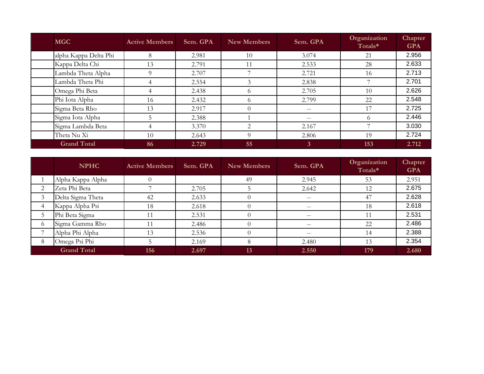| <b>MGC</b>            | <b>Active Members</b> | Sem. GPA | New Members                 | Sem. GPA     | Organization<br>Totals* | Chapter<br><b>GPA</b> |
|-----------------------|-----------------------|----------|-----------------------------|--------------|-------------------------|-----------------------|
| alpha Kappa Delta Phi | 8                     | 2.981    | 10                          | 3.074        | 21                      | 2.956                 |
| Kappa Delta Chi       | 13                    | 2.791    |                             | 2.533        | 28                      | 2.633                 |
| Lambda Theta Alpha    | 9                     | 2.707    |                             | 2.721        | 16                      | 2.713                 |
| Lambda Theta Phi      | 4                     | 2.554    |                             | 2.838        |                         | 2.701                 |
| Omega Phi Beta        | 4                     | 2.438    | $\Omega$                    | 2.705        | 10                      | 2.626                 |
| Phi Iota Alpha        | 16                    | 2.432    | $\Omega$                    | 2.799        | 22                      | 2.548                 |
| Sigma Beta Rho        | 13                    | 2.917    | $\Omega$                    |              |                         | 2.725                 |
| Sigma Iota Alpha      |                       | 2.388    |                             | $- -$        | $\Omega$                | 2.446                 |
| Sigma Lambda Beta     | 4                     | 3.370    | $\mathcal{D}_{\mathcal{L}}$ | 2.167        |                         | 3.030                 |
| Theta Nu Xi           | 10                    | 2.643    | $\Omega$                    | 2.806        | 19                      | 2.724                 |
| <b>Grand Total</b>    | 86                    | 2.729    | 55                          | $\mathbf{3}$ | 153                     | 2.712                 |

|                | <b>NPHC</b>        | <b>Active Members</b> | Sem. GPA | <b>New Members</b> | Sem. GPA          | Organization<br>Totals* | Chapter<br><b>GPA</b> |
|----------------|--------------------|-----------------------|----------|--------------------|-------------------|-------------------------|-----------------------|
|                | Alpha Kappa Alpha  |                       |          | 49                 | 2.945             | 53                      | 2.951                 |
| 2              | Zeta Phi Beta      |                       | 2.705    |                    | 2.642             | 12                      | 2.675                 |
| 3              | Delta Sigma Theta  | 42                    | 2.633    |                    | $- -$             | 47                      | 2.628                 |
| $\overline{4}$ | Kappa Alpha Psi    | 18                    | 2.618    |                    | $\qquad \qquad -$ | 18                      | 2.618                 |
| 5              | Phi Beta Sigma     |                       | 2.531    |                    | $- -$             |                         | 2.531                 |
| 6              | Sigma Gamma Rho    | 11                    | 2.486    |                    | $\qquad \qquad -$ | 22                      | 2.486                 |
| $\overline{ }$ | Alpha Phi Alpha    | 13                    | 2.536    |                    | $- -$             | 14                      | 2.388                 |
| 8              | Omega Psi Phi      |                       | 2.169    | 8                  | 2.480             | 13                      | 2.354                 |
|                | <b>Grand Total</b> | 156                   | 2.697    | 13                 | 2.550             | 179                     | 2.680                 |